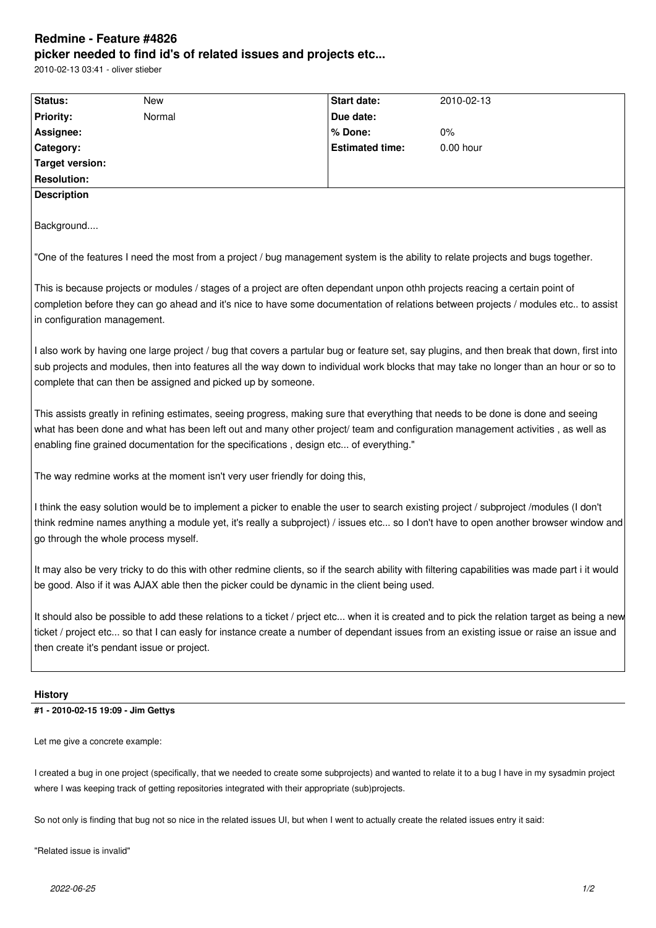## **Redmine - Feature #4826 picker needed to find id's of related issues and projects etc...**

2010-02-13 03:41 - oliver stieber

| Status:                                                                                                                                                 | New                                                                          | Start date:                                                                                                                  | 2010-02-13                                                                                                                                                                                                                                                                             |
|---------------------------------------------------------------------------------------------------------------------------------------------------------|------------------------------------------------------------------------------|------------------------------------------------------------------------------------------------------------------------------|----------------------------------------------------------------------------------------------------------------------------------------------------------------------------------------------------------------------------------------------------------------------------------------|
| <b>Priority:</b>                                                                                                                                        | Normal                                                                       | Due date:                                                                                                                    |                                                                                                                                                                                                                                                                                        |
| Assignee:                                                                                                                                               |                                                                              | % Done:                                                                                                                      | $0\%$                                                                                                                                                                                                                                                                                  |
| Category:                                                                                                                                               |                                                                              | <b>Estimated time:</b>                                                                                                       | $0.00$ hour                                                                                                                                                                                                                                                                            |
| <b>Target version:</b>                                                                                                                                  |                                                                              |                                                                                                                              |                                                                                                                                                                                                                                                                                        |
| <b>Resolution:</b>                                                                                                                                      |                                                                              |                                                                                                                              |                                                                                                                                                                                                                                                                                        |
| <b>Description</b>                                                                                                                                      |                                                                              |                                                                                                                              |                                                                                                                                                                                                                                                                                        |
| Background                                                                                                                                              |                                                                              |                                                                                                                              |                                                                                                                                                                                                                                                                                        |
|                                                                                                                                                         |                                                                              |                                                                                                                              | "One of the features I need the most from a project / bug management system is the ability to relate projects and bugs together.                                                                                                                                                       |
| in configuration management.                                                                                                                            |                                                                              | This is because projects or modules / stages of a project are often dependant unpon othh projects reacing a certain point of | completion before they can go ahead and it's nice to have some documentation of relations between projects / modules etc to assist                                                                                                                                                     |
|                                                                                                                                                         | complete that can then be assigned and picked up by someone.                 |                                                                                                                              | I also work by having one large project / bug that covers a partular bug or feature set, say plugins, and then break that down, first into<br>sub projects and modules, then into features all the way down to individual work blocks that may take no longer than an hour or so to    |
|                                                                                                                                                         |                                                                              | enabling fine grained documentation for the specifications, design etc of everything."                                       | This assists greatly in refining estimates, seeing progress, making sure that everything that needs to be done is done and seeing<br>what has been done and what has been left out and many other project/ team and configuration management activities, as well as                    |
|                                                                                                                                                         | The way redmine works at the moment isn't very user friendly for doing this, |                                                                                                                              |                                                                                                                                                                                                                                                                                        |
|                                                                                                                                                         | go through the whole process myself.                                         |                                                                                                                              | I think the easy solution would be to implement a picker to enable the user to search existing project / subproject /modules (I don't<br>think redmine names anything a module yet, it's really a subproject) / issues etc so I don't have to open another browser window and          |
|                                                                                                                                                         |                                                                              | be good. Also if it was AJAX able then the picker could be dynamic in the client being used.                                 | It may also be very tricky to do this with other redmine clients, so if the search ability with filtering capabilities was made part i it would                                                                                                                                        |
|                                                                                                                                                         | then create it's pendant issue or project.                                   |                                                                                                                              | It should also be possible to add these relations to a ticket / priect etc when it is created and to pick the relation target as being a new<br>ticket / project etc so that I can easly for instance create a number of dependant issues from an existing issue or raise an issue and |
| <b>History</b>                                                                                                                                          |                                                                              |                                                                                                                              |                                                                                                                                                                                                                                                                                        |
| #1 - 2010-02-15 19:09 - Jim Gettys                                                                                                                      |                                                                              |                                                                                                                              |                                                                                                                                                                                                                                                                                        |
| Let me give a concrete example:                                                                                                                         |                                                                              |                                                                                                                              |                                                                                                                                                                                                                                                                                        |
| I created a bug in one project (specifically, that we needed to create some subprojects) and wanted to relate it to a bug I have in my sysadmin project |                                                                              |                                                                                                                              |                                                                                                                                                                                                                                                                                        |

So not only is finding that bug not so nice in the related issues UI, but when I went to actually create the related issues entry it said:

where I was keeping track of getting repositories integrated with their appropriate (sub)projects.

"Related issue is invalid"